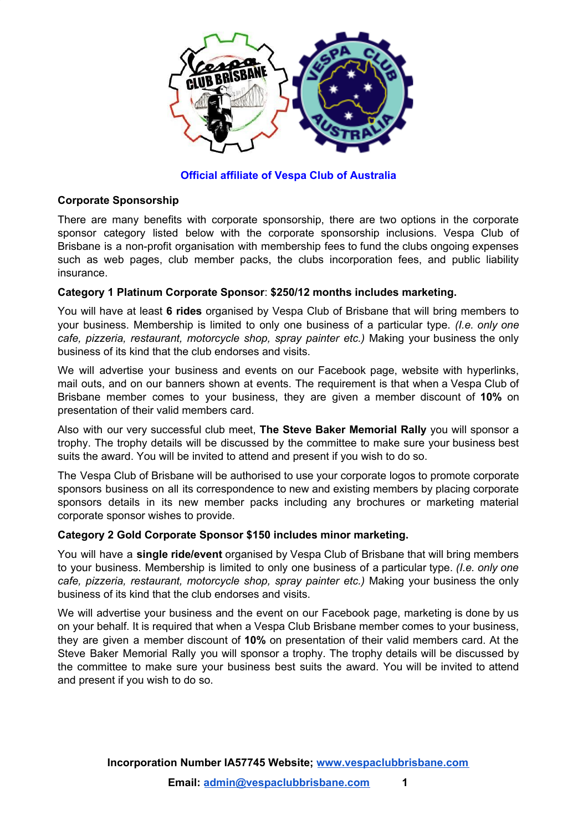

**Official affiliate of Vespa Club of Australia**

# **Corporate Sponsorship**

There are many benefits with corporate sponsorship, there are two options in the corporate sponsor category listed below with the corporate sponsorship inclusions. Vespa Club of Brisbane is a non-profit organisation with membership fees to fund the clubs ongoing expenses such as web pages, club member packs, the clubs incorporation fees, and public liability insurance.

# **Category 1 Platinum Corporate Sponsor**: **\$250/12 months includes marketing.**

You will have at least **6 rides** organised by Vespa Club of Brisbane that will bring members to your business. Membership is limited to only one business of a particular type. *(I.e. only one cafe, pizzeria, restaurant, motorcycle shop, spray painter etc.)* Making your business the only business of its kind that the club endorses and visits.

We will advertise your business and events on our Facebook page, website with hyperlinks, mail outs, and on our banners shown at events. The requirement is that when a Vespa Club of Brisbane member comes to your business, they are given a member discount of **10%** on presentation of their valid members card.

Also with our very successful club meet, **The Steve Baker Memorial Rally** you will sponsor a trophy. The trophy details will be discussed by the committee to make sure your business best suits the award. You will be invited to attend and present if you wish to do so.

The Vespa Club of Brisbane will be authorised to use your corporate logos to promote corporate sponsors business on all its correspondence to new and existing members by placing corporate sponsors details in its new member packs including any brochures or marketing material corporate sponsor wishes to provide.

## **Category 2 Gold Corporate Sponsor \$150 includes minor marketing.**

You will have a **single ride/event** organised by Vespa Club of Brisbane that will bring members to your business. Membership is limited to only one business of a particular type. *(I.e. only one cafe, pizzeria, restaurant, motorcycle shop, spray painter etc.)* Making your business the only business of its kind that the club endorses and visits.

We will advertise your business and the event on our Facebook page, marketing is done by us on your behalf. It is required that when a Vespa Club Brisbane member comes to your business, they are given a member discount of **10%** on presentation of their valid members card. At the Steve Baker Memorial Rally you will sponsor a trophy. The trophy details will be discussed by the committee to make sure your business best suits the award. You will be invited to attend and present if you wish to do so.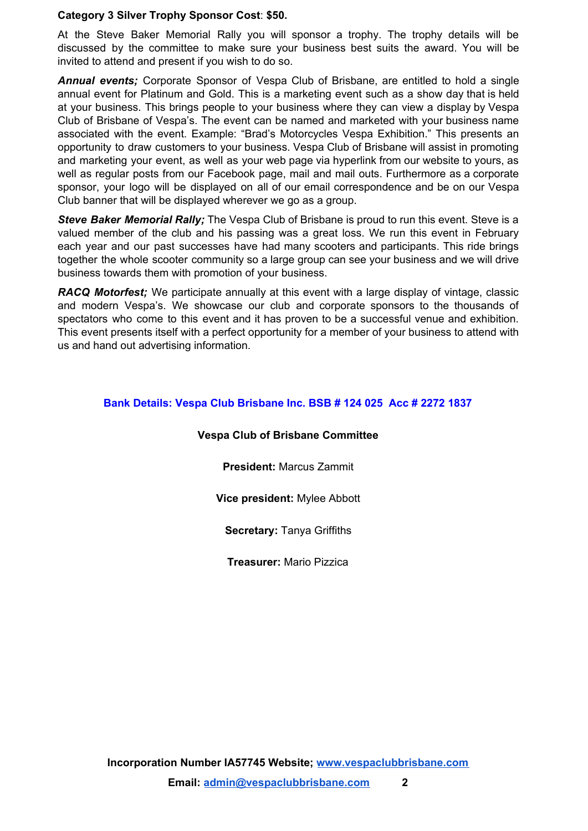### **Category 3 Silver Trophy Sponsor Cost**: **\$50.**

At the Steve Baker Memorial Rally you will sponsor a trophy. The trophy details will be discussed by the committee to make sure your business best suits the award. You will be invited to attend and present if you wish to do so.

*Annual events;* Corporate Sponsor of Vespa Club of Brisbane, are entitled to hold a single annual event for Platinum and Gold. This is a marketing event such as a show day that is held at your business. This brings people to your business where they can view a display by Vespa Club of Brisbane of Vespa's. The event can be named and marketed with your business name associated with the event. Example: "Brad's Motorcycles Vespa Exhibition." This presents an opportunity to draw customers to your business. Vespa Club of Brisbane will assist in promoting and marketing your event, as well as your web page via hyperlink from our website to yours, as well as regular posts from our Facebook page, mail and mail outs. Furthermore as a corporate sponsor, your logo will be displayed on all of our email correspondence and be on our Vespa Club banner that will be displayed wherever we go as a group.

*Steve Baker Memorial Rally;* The Vespa Club of Brisbane is proud to run this event. Steve is a valued member of the club and his passing was a great loss. We run this event in February each year and our past successes have had many scooters and participants. This ride brings together the whole scooter community so a large group can see your business and we will drive business towards them with promotion of your business.

*RACQ Motorfest;* We participate annually at this event with a large display of vintage, classic and modern Vespa's. We showcase our club and corporate sponsors to the thousands of spectators who come to this event and it has proven to be a successful venue and exhibition. This event presents itself with a perfect opportunity for a member of your business to attend with us and hand out advertising information.

# **Bank Details: Vespa Club Brisbane Inc. BSB # 124 025 Acc # 2272 1837**

## **Vespa Club of Brisbane Committee**

**President:** Marcus Zammit

**Vice president:** Mylee Abbott

**Secretary:** Tanya Griffiths

**Treasurer:** Mario Pizzica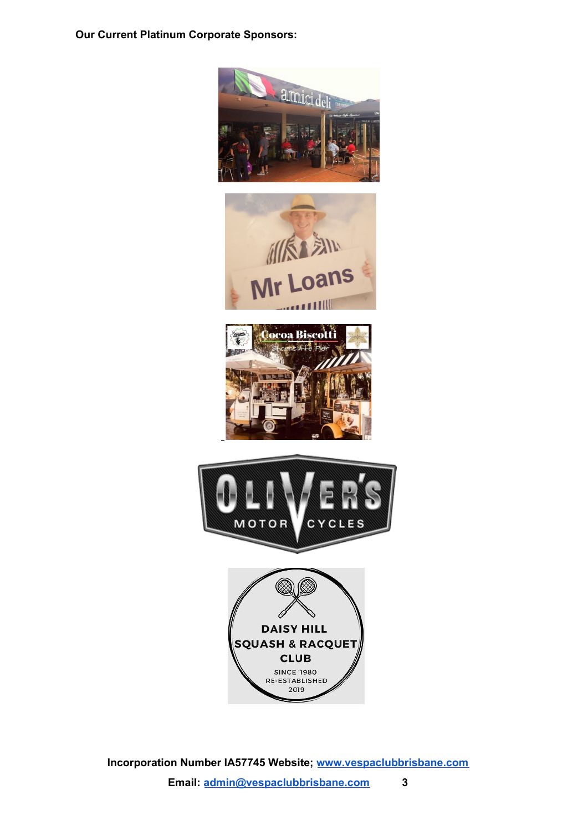**Our Current Platinum Corporate Sponsors:**



**Incorporation Number IA57745 Website; [www.vespaclubbrisbane.com](http://www.vespaclubbrisbane.com/) Email: [admin@vespaclubbrisbane.com](mailto:admin@vespaclubbrisbane.com) 3**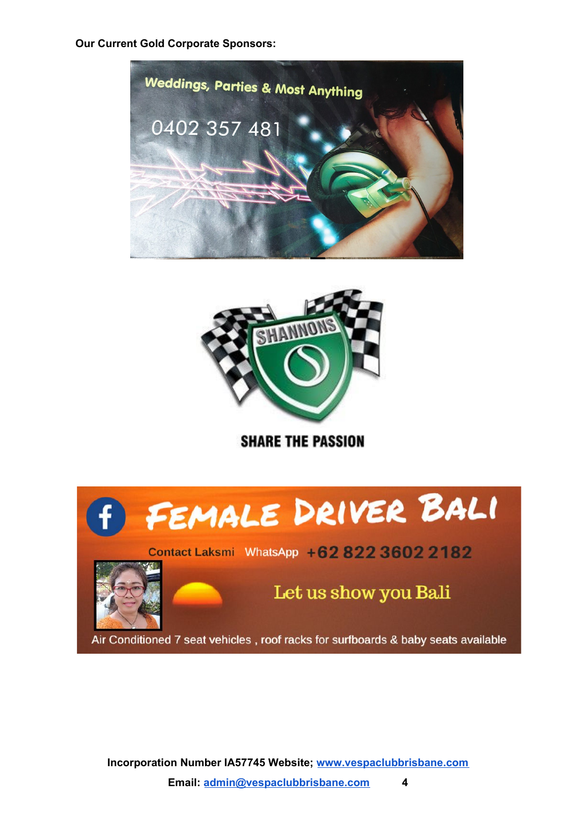**Our Current Gold Corporate Sponsors:**





**SHARE THE PASSION** 



**Incorporation Number IA57745 Website; [www.vespaclubbrisbane.com](http://www.vespaclubbrisbane.com/) Email: [admin@vespaclubbrisbane.com](mailto:admin@vespaclubbrisbane.com) 4**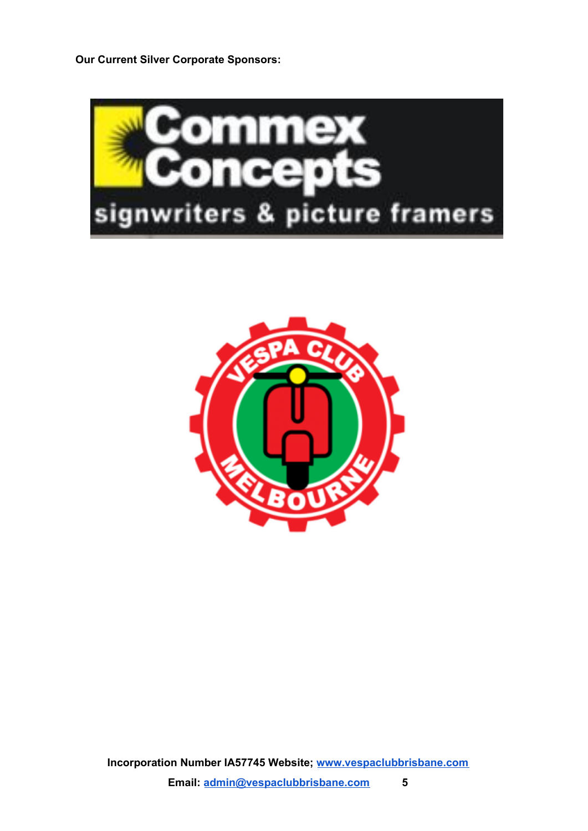**Our Current Silver Corporate Sponsors:**